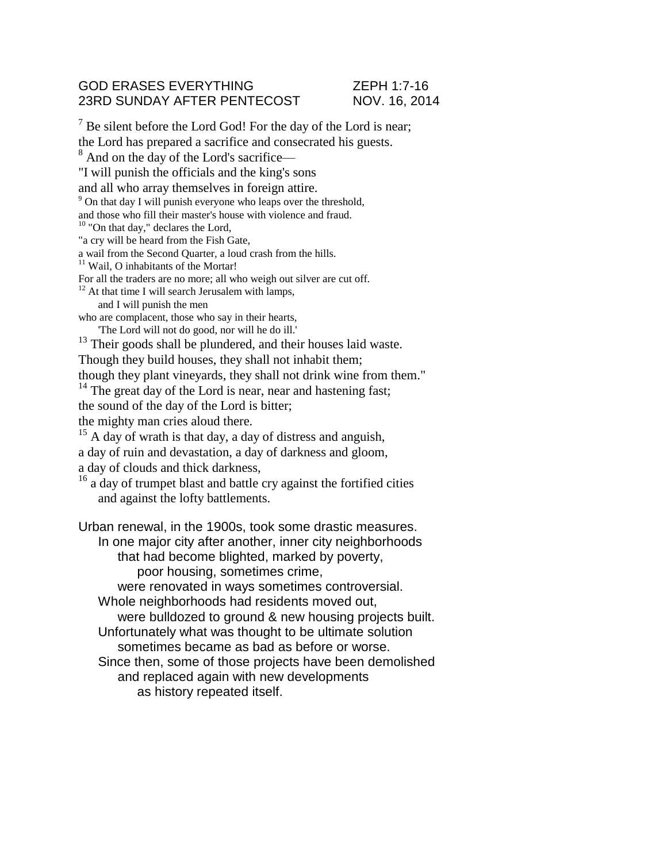## GOD ERASES EVERYTHING **EXAMPLE 25 YOU AT A 25 YOU AT 25 YOU AT 25 YOU AT 25 YOU AT 25 YOU AT 25 YOU AT 25 YOU AT 25 YOU AT 25 YOU AT 25 YOU AT 25 YOU AT 25 YOU AT 25 YOU AT 25 YOU AT 25 YOU AT 25 YOU AT 25 YOU AT 25 YOU AT** 23RD SUNDAY AFTER PENTECOST NOV. 16, 2014

 $<sup>7</sup>$  Be silent before the Lord God! For the day of the Lord is near;</sup> the Lord has prepared a sacrifice and consecrated his guests. <sup>8</sup> And on the day of the Lord's sacrifice— "I will punish the officials and the king's sons and all who array themselves in foreign attire. <sup>9</sup> On that day I will punish everyone who leaps over the threshold, and those who fill their master's house with violence and fraud.  $10$  "On that day," declares the Lord, "a cry will be heard from the Fish Gate, a wail from the Second Quarter, a loud crash from the hills. <sup>11</sup> Wail, O inhabitants of the Mortar! For all the traders are no more; all who weigh out silver are cut off.  $12$  At that time I will search Jerusalem with lamps, and I will punish the men who are complacent, those who say in their hearts, 'The Lord will not do good, nor will he do ill.' <sup>13</sup> Their goods shall be plundered, and their houses laid waste. Though they build houses, they shall not inhabit them; though they plant vineyards, they shall not drink wine from them." <sup>14</sup> The great day of the Lord is near, near and hastening fast; the sound of the day of the Lord is bitter; the mighty man cries aloud there. <sup>15</sup> A day of wrath is that day, a day of distress and anguish, a day of ruin and devastation, a day of darkness and gloom, a day of clouds and thick darkness,  $16$  a day of trumpet blast and battle cry against the fortified cities and against the lofty battlements. Urban renewal, in the 1900s, took some drastic measures. In one major city after another, inner city neighborhoods that had become blighted, marked by poverty, poor housing, sometimes crime, were renovated in ways sometimes controversial. Whole neighborhoods had residents moved out, were bulldozed to ground & new housing projects built. Unfortunately what was thought to be ultimate solution sometimes became as bad as before or worse. Since then, some of those projects have been demolished and replaced again with new developments as history repeated itself.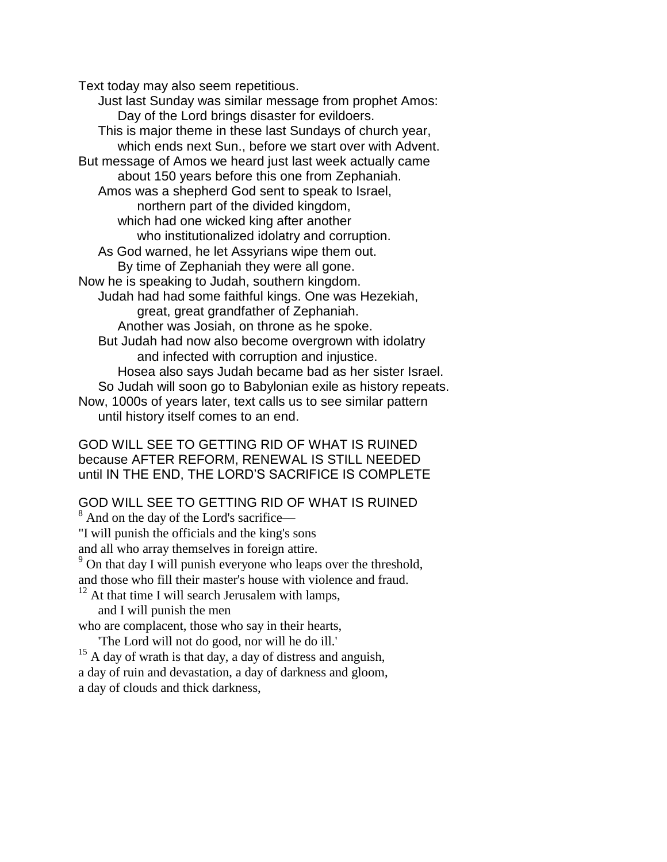Text today may also seem repetitious.

Just last Sunday was similar message from prophet Amos: Day of the Lord brings disaster for evildoers. This is major theme in these last Sundays of church year, which ends next Sun., before we start over with Advent. But message of Amos we heard just last week actually came about 150 years before this one from Zephaniah. Amos was a shepherd God sent to speak to Israel, northern part of the divided kingdom, which had one wicked king after another who institutionalized idolatry and corruption. As God warned, he let Assyrians wipe them out. By time of Zephaniah they were all gone. Now he is speaking to Judah, southern kingdom. Judah had had some faithful kings. One was Hezekiah, great, great grandfather of Zephaniah. Another was Josiah, on throne as he spoke. But Judah had now also become overgrown with idolatry and infected with corruption and injustice. Hosea also says Judah became bad as her sister Israel. So Judah will soon go to Babylonian exile as history repeats. Now, 1000s of years later, text calls us to see similar pattern until history itself comes to an end.

GOD WILL SEE TO GETTING RID OF WHAT IS RUINED because AFTER REFORM, RENEWAL IS STILL NEEDED until IN THE END, THE LORD'S SACRIFICE IS COMPLETE

## GOD WILL SEE TO GETTING RID OF WHAT IS RUINED

<sup>8</sup> And on the day of the Lord's sacrifice— "I will punish the officials and the king's sons and all who array themselves in foreign attire. <sup>9</sup> On that day I will punish everyone who leaps over the threshold,

and those who fill their master's house with violence and fraud.

 $12$  At that time I will search Jerusalem with lamps, and I will punish the men

who are complacent, those who say in their hearts,

'The Lord will not do good, nor will he do ill.'

<sup>15</sup> A day of wrath is that day, a day of distress and anguish, a day of ruin and devastation, a day of darkness and gloom, a day of clouds and thick darkness,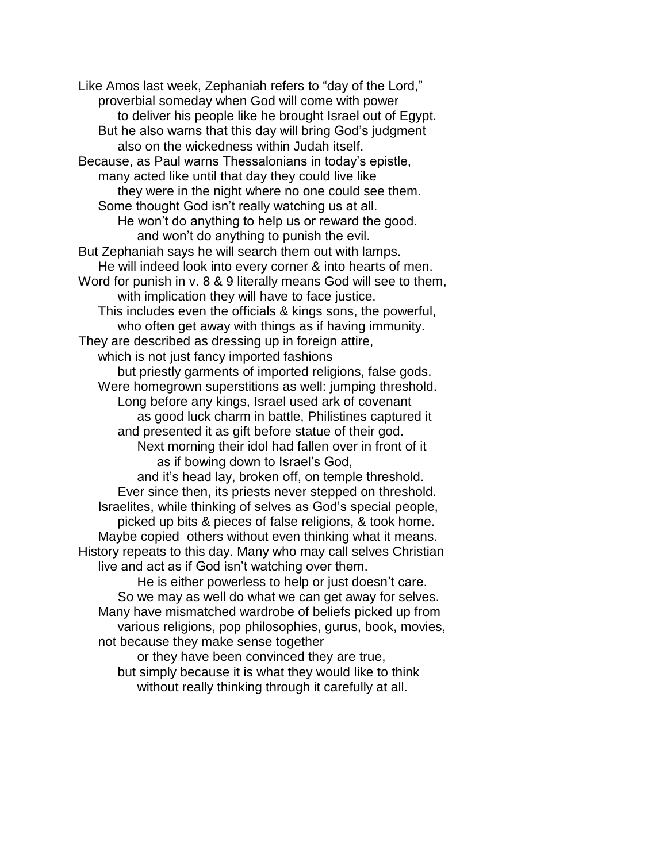Like Amos last week, Zephaniah refers to "day of the Lord," proverbial someday when God will come with power to deliver his people like he brought Israel out of Egypt. But he also warns that this day will bring God's judgment also on the wickedness within Judah itself. Because, as Paul warns Thessalonians in today's epistle, many acted like until that day they could live like they were in the night where no one could see them. Some thought God isn't really watching us at all. He won't do anything to help us or reward the good. and won't do anything to punish the evil. But Zephaniah says he will search them out with lamps. He will indeed look into every corner & into hearts of men. Word for punish in v. 8 & 9 literally means God will see to them, with implication they will have to face justice. This includes even the officials & kings sons, the powerful, who often get away with things as if having immunity. They are described as dressing up in foreign attire, which is not just fancy imported fashions but priestly garments of imported religions, false gods. Were homegrown superstitions as well: jumping threshold. Long before any kings, Israel used ark of covenant as good luck charm in battle, Philistines captured it and presented it as gift before statue of their god. Next morning their idol had fallen over in front of it as if bowing down to Israel's God, and it's head lay, broken off, on temple threshold. Ever since then, its priests never stepped on threshold. Israelites, while thinking of selves as God's special people, picked up bits & pieces of false religions, & took home. Maybe copied others without even thinking what it means. History repeats to this day. Many who may call selves Christian live and act as if God isn't watching over them. He is either powerless to help or just doesn't care. So we may as well do what we can get away for selves. Many have mismatched wardrobe of beliefs picked up from

various religions, pop philosophies, gurus, book, movies, not because they make sense together or they have been convinced they are true,

but simply because it is what they would like to think without really thinking through it carefully at all.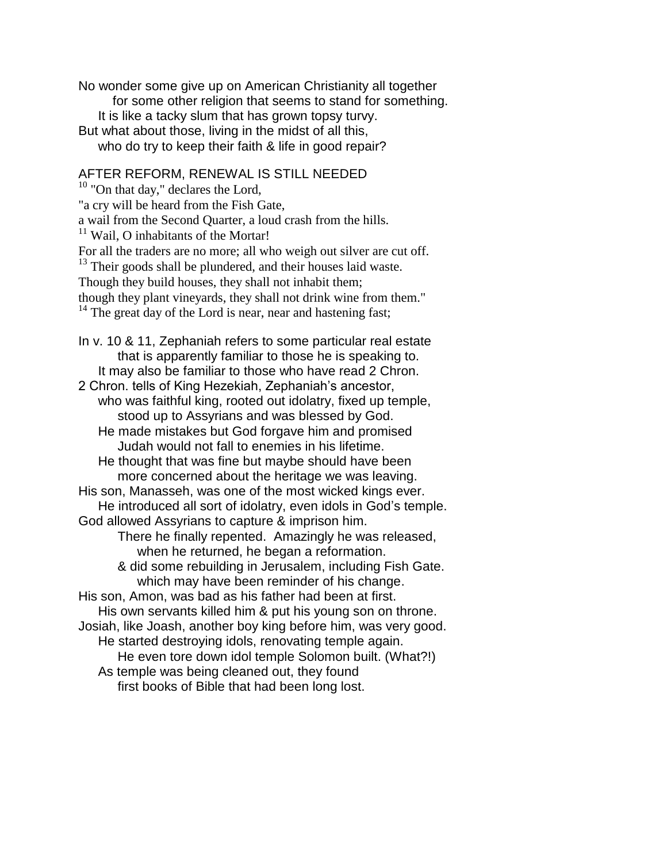No wonder some give up on American Christianity all together for some other religion that seems to stand for something. It is like a tacky slum that has grown topsy turvy. But what about those, living in the midst of all this, who do try to keep their faith & life in good repair?

## AFTER REFORM, RENEWAL IS STILL NEEDED

 $10$  "On that day," declares the Lord, "a cry will be heard from the Fish Gate, a wail from the Second Quarter, a loud crash from the hills. <sup>11</sup> Wail, O inhabitants of the Mortar! For all the traders are no more; all who weigh out silver are cut off.  $13$  Their goods shall be plundered, and their houses laid waste. Though they build houses, they shall not inhabit them; though they plant vineyards, they shall not drink wine from them."  $14$  The great day of the Lord is near, near and hastening fast; In v. 10 & 11, Zephaniah refers to some particular real estate that is apparently familiar to those he is speaking to. It may also be familiar to those who have read 2 Chron. 2 Chron. tells of King Hezekiah, Zephaniah's ancestor, who was faithful king, rooted out idolatry, fixed up temple, stood up to Assyrians and was blessed by God. He made mistakes but God forgave him and promised Judah would not fall to enemies in his lifetime. He thought that was fine but maybe should have been more concerned about the heritage we was leaving. His son, Manasseh, was one of the most wicked kings ever. He introduced all sort of idolatry, even idols in God's temple. God allowed Assyrians to capture & imprison him. There he finally repented. Amazingly he was released, when he returned, he began a reformation. & did some rebuilding in Jerusalem, including Fish Gate. which may have been reminder of his change. His son, Amon, was bad as his father had been at first. His own servants killed him & put his young son on throne. Josiah, like Joash, another boy king before him, was very good. He started destroying idols, renovating temple again. He even tore down idol temple Solomon built. (What?!) As temple was being cleaned out, they found first books of Bible that had been long lost.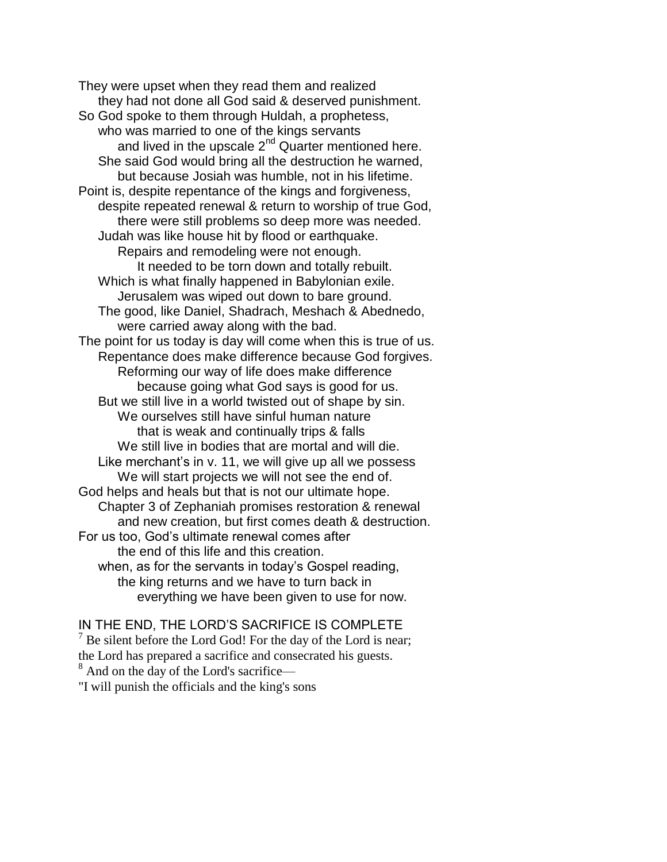They were upset when they read them and realized they had not done all God said & deserved punishment. So God spoke to them through Huldah, a prophetess, who was married to one of the kings servants and lived in the upscale  $2^{nd}$  Quarter mentioned here. She said God would bring all the destruction he warned, but because Josiah was humble, not in his lifetime. Point is, despite repentance of the kings and forgiveness, despite repeated renewal & return to worship of true God, there were still problems so deep more was needed. Judah was like house hit by flood or earthquake. Repairs and remodeling were not enough. It needed to be torn down and totally rebuilt. Which is what finally happened in Babylonian exile. Jerusalem was wiped out down to bare ground. The good, like Daniel, Shadrach, Meshach & Abednedo, were carried away along with the bad. The point for us today is day will come when this is true of us. Repentance does make difference because God forgives. Reforming our way of life does make difference because going what God says is good for us. But we still live in a world twisted out of shape by sin. We ourselves still have sinful human nature that is weak and continually trips & falls We still live in bodies that are mortal and will die. Like merchant's in v. 11, we will give up all we possess We will start projects we will not see the end of. God helps and heals but that is not our ultimate hope. Chapter 3 of Zephaniah promises restoration & renewal and new creation, but first comes death & destruction. For us too, God's ultimate renewal comes after the end of this life and this creation. when, as for the servants in today's Gospel reading, the king returns and we have to turn back in everything we have been given to use for now.

## IN THE END, THE LORD'S SACRIFICE IS COMPLETE

 $<sup>7</sup>$  Be silent before the Lord God! For the day of the Lord is near;</sup> the Lord has prepared a sacrifice and consecrated his guests. <sup>8</sup> And on the day of the Lord's sacrifice—

"I will punish the officials and the king's sons